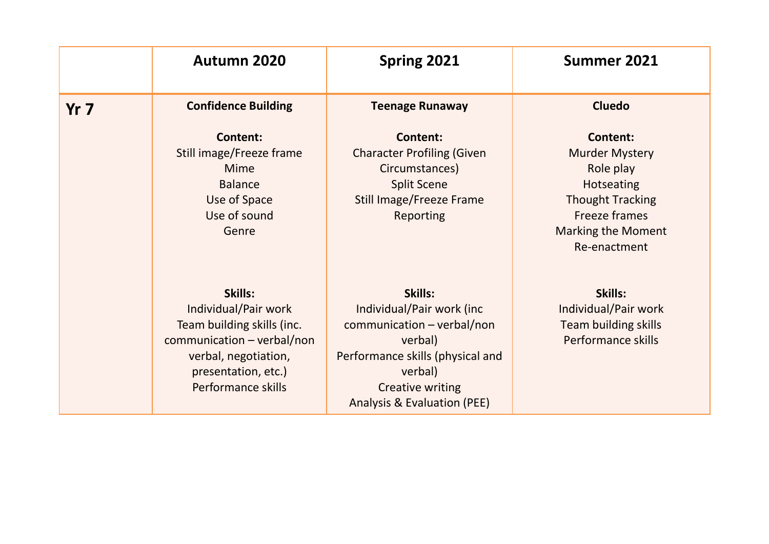|                 | Autumn 2020                                                                                                                                                               | Spring 2021                                                                                                                                                                                     | <b>Summer 2021</b>                                                                                                                                                         |
|-----------------|---------------------------------------------------------------------------------------------------------------------------------------------------------------------------|-------------------------------------------------------------------------------------------------------------------------------------------------------------------------------------------------|----------------------------------------------------------------------------------------------------------------------------------------------------------------------------|
| Yr <sub>7</sub> | <b>Confidence Building</b>                                                                                                                                                | <b>Teenage Runaway</b>                                                                                                                                                                          | <b>Cluedo</b>                                                                                                                                                              |
|                 | <b>Content:</b><br>Still image/Freeze frame<br><b>Mime</b><br><b>Balance</b><br>Use of Space<br>Use of sound<br>Genre                                                     | <b>Content:</b><br><b>Character Profiling (Given</b><br>Circumstances)<br><b>Split Scene</b><br><b>Still Image/Freeze Frame</b><br><b>Reporting</b>                                             | <b>Content:</b><br><b>Murder Mystery</b><br>Role play<br><b>Hotseating</b><br><b>Thought Tracking</b><br><b>Freeze frames</b><br><b>Marking the Moment</b><br>Re-enactment |
|                 | Skills:<br>Individual/Pair work<br>Team building skills (inc.<br>$common$ communication – verbal/non<br>verbal, negotiation,<br>presentation, etc.)<br>Performance skills | Skills:<br>Individual/Pair work (inc<br>$common$ communication – verbal/non<br>verbal)<br>Performance skills (physical and<br>verbal)<br><b>Creative writing</b><br>Analysis & Evaluation (PEE) | Skills:<br>Individual/Pair work<br><b>Team building skills</b><br>Performance skills                                                                                       |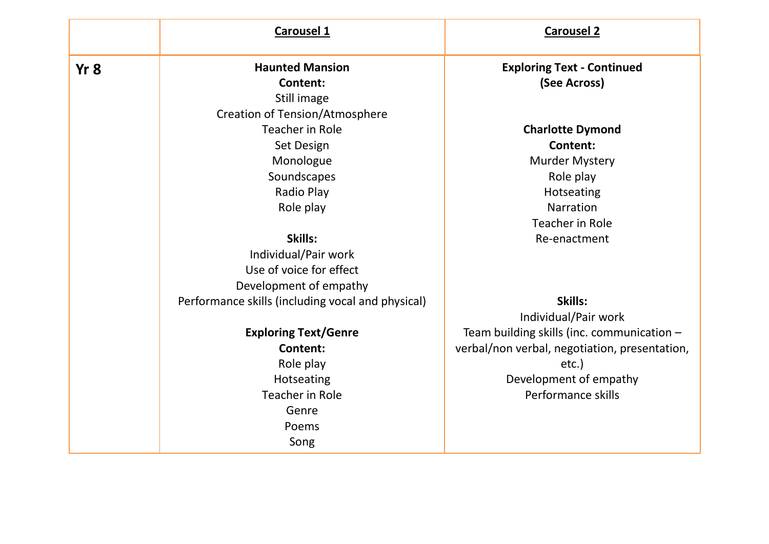|                 | <b>Carousel 1</b>                                 | <b>Carousel 2</b>                             |
|-----------------|---------------------------------------------------|-----------------------------------------------|
| Yr <sub>8</sub> | <b>Haunted Mansion</b>                            | <b>Exploring Text - Continued</b>             |
|                 | <b>Content:</b>                                   | (See Across)                                  |
|                 | Still image                                       |                                               |
|                 | <b>Creation of Tension/Atmosphere</b>             |                                               |
|                 | <b>Teacher in Role</b>                            | <b>Charlotte Dymond</b>                       |
|                 | Set Design                                        | Content:                                      |
|                 | Monologue                                         | <b>Murder Mystery</b>                         |
|                 | Soundscapes                                       | Role play                                     |
|                 | Radio Play                                        | Hotseating                                    |
|                 | Role play                                         | <b>Narration</b>                              |
|                 |                                                   | <b>Teacher in Role</b>                        |
|                 | Skills:                                           | Re-enactment                                  |
|                 | Individual/Pair work                              |                                               |
|                 | Use of voice for effect                           |                                               |
|                 | Development of empathy                            |                                               |
|                 | Performance skills (including vocal and physical) | Skills:                                       |
|                 |                                                   | Individual/Pair work                          |
|                 | <b>Exploring Text/Genre</b>                       | Team building skills (inc. communication -    |
|                 | Content:                                          | verbal/non verbal, negotiation, presentation, |
|                 | Role play                                         | $etc.$ )                                      |
|                 | Hotseating                                        | Development of empathy                        |
|                 | Teacher in Role                                   | Performance skills                            |
|                 | Genre                                             |                                               |
|                 | Poems                                             |                                               |
|                 | Song                                              |                                               |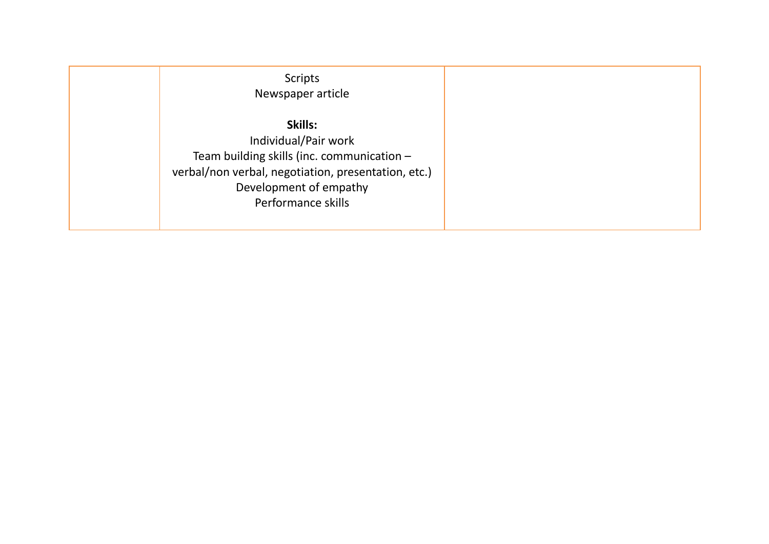| <b>Scripts</b><br>Newspaper article                                                                                                                                                  |
|--------------------------------------------------------------------------------------------------------------------------------------------------------------------------------------|
| Skills:<br>Individual/Pair work<br>Team building skills (inc. communication -<br>verbal/non verbal, negotiation, presentation, etc.)<br>Development of empathy<br>Performance skills |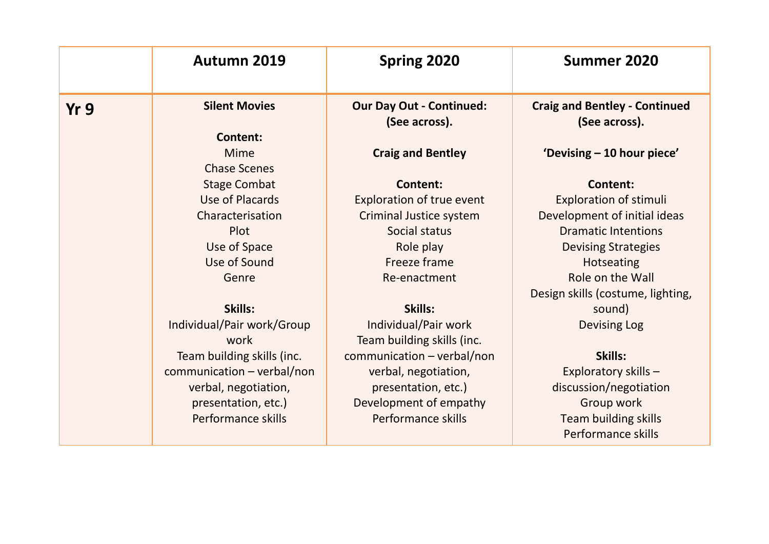|                 | <b>Autumn 2019</b>                  | Spring 2020                                      | Summer 2020                                           |
|-----------------|-------------------------------------|--------------------------------------------------|-------------------------------------------------------|
| Yr <sub>9</sub> | <b>Silent Movies</b>                | <b>Our Day Out - Continued:</b><br>(See across). | <b>Craig and Bentley - Continued</b><br>(See across). |
|                 | <b>Content:</b>                     |                                                  |                                                       |
|                 | <b>Mime</b>                         | <b>Craig and Bentley</b>                         | 'Devising - 10 hour piece'                            |
|                 | <b>Chase Scenes</b>                 |                                                  |                                                       |
|                 | <b>Stage Combat</b>                 | <b>Content:</b>                                  | <b>Content:</b>                                       |
|                 | <b>Use of Placards</b>              | <b>Exploration of true event</b>                 | <b>Exploration of stimuli</b>                         |
|                 | Characterisation                    | <b>Criminal Justice system</b>                   | Development of initial ideas                          |
|                 | Plot                                | Social status                                    | <b>Dramatic Intentions</b>                            |
|                 | Use of Space                        | Role play                                        | <b>Devising Strategies</b>                            |
|                 | Use of Sound                        | Freeze frame                                     | <b>Hotseating</b>                                     |
|                 | Genre                               | Re-enactment                                     | Role on the Wall                                      |
|                 |                                     |                                                  | Design skills (costume, lighting,                     |
|                 | Skills:                             | Skills:                                          | sound)                                                |
|                 | Individual/Pair work/Group          | Individual/Pair work                             | <b>Devising Log</b>                                   |
|                 | work                                | Team building skills (inc.                       |                                                       |
|                 | Team building skills (inc.          | communication - verbal/non                       | Skills:                                               |
|                 | $common$ communication – verbal/non | verbal, negotiation,                             | Exploratory skills -                                  |
|                 | verbal, negotiation,                | presentation, etc.)                              | discussion/negotiation                                |
|                 | presentation, etc.)                 | Development of empathy                           | Group work                                            |
|                 | Performance skills                  | Performance skills                               | <b>Team building skills</b>                           |
|                 |                                     |                                                  | Performance skills                                    |
|                 |                                     |                                                  |                                                       |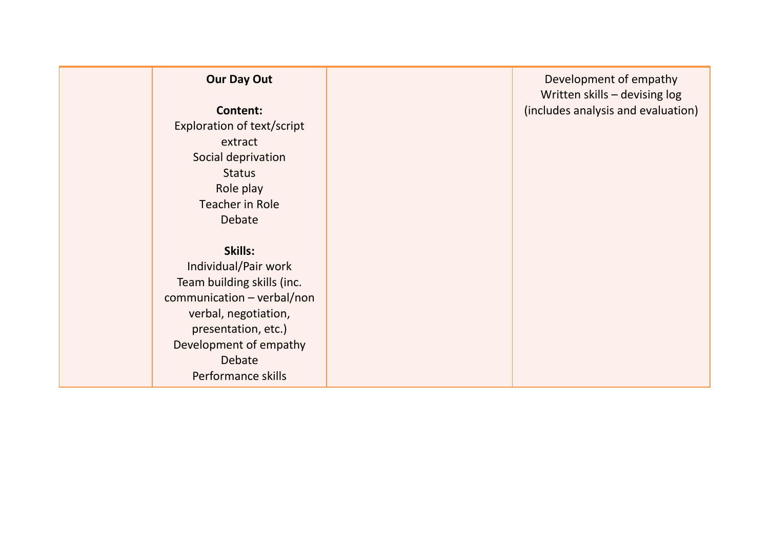# **Our Day Out**

**Content:** Exploration of text/script extract Social deprivation **Status** Role play Teacher in Role Debate

# **Skills:**

Individual/Pair work Team building skills (inc. communication – verbal/non verbal, negotiation, presentation, etc.) Development of empathy Debate Performance skills

Development of empathy Written skills – devising log (includes analysis and evaluation)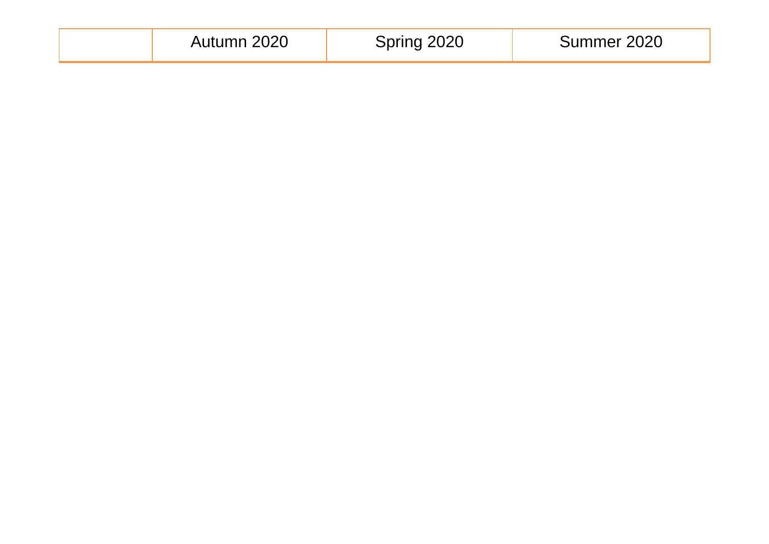|  |  | Autumn 2020 | Spring 2020 | Summer 2020 |
|--|--|-------------|-------------|-------------|
|--|--|-------------|-------------|-------------|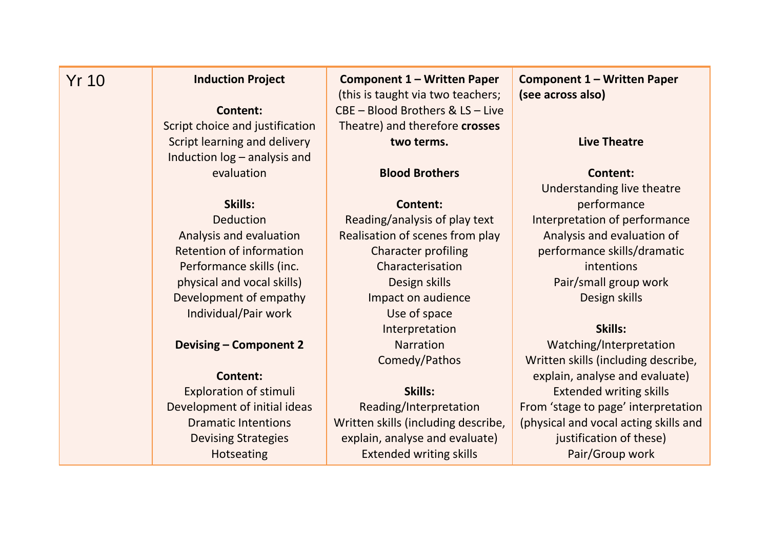# Yr 10 **Induction Project**

# **Content:**

Script choice and justification Script learning and delivery Induction log – analysis and evaluation

# **Skills:**

Deduction Analysis and evaluation Retention of information Performance skills (inc. physical and vocal skills) Development of empathy Individual/Pair work

# **Devising – Component 2**

# **Content:**

Exploration of stimuli Development of initial ideas Dramatic Intentions Devising Strategies Hotseating

**Component 1 – Written Paper** (this is taught via two teachers; CBE – Blood Brothers & LS – Live Theatre) and therefore **crosses two terms.**

## **Blood Brothers**

**Content:** Reading/analysis of play text Realisation of scenes from play Character profiling Characterisation Design skills Impact on audience Use of space Interpretation Narration Comedy/Pathos

## **Skills:**

Reading/Interpretation Written skills (including describe, explain, analyse and evaluate) Extended writing skills

**Component 1 – Written Paper (see across also)**

### **Live Theatre**

#### **Content:**

Understanding live theatre performance Interpretation of performance Analysis and evaluation of performance skills/dramatic intentions Pair/small group work Design skills

### **Skills:**

Watching/Interpretation Written skills (including describe, explain, analyse and evaluate) Extended writing skills From 'stage to page' interpretation (physical and vocal acting skills and justification of these) Pair/Group work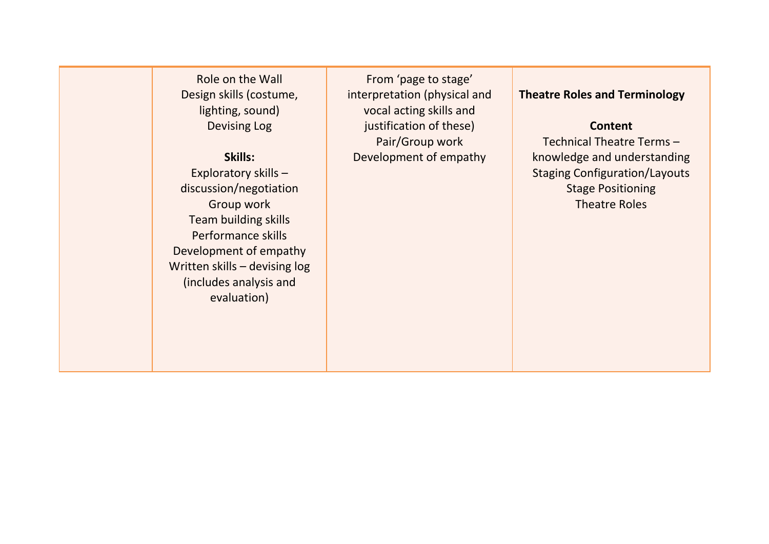Role on the Wall Design skills (costume, lighting, sound) Devising Log

**Skills:** Exploratory skills – discussion/negotiation Group work Team building skills Performance skills Development of empathy Written skills – devising log (includes analysis and evaluation)

From 'page to stage' interpretation (physical and vocal acting skills and justification of these) Pair/Group work Development of empathy

**Theatre Roles and Terminology**

## **Content**

Technical Theatre Terms – knowledge and understanding Staging Configuration/Layouts Stage Positioning Theatre Roles